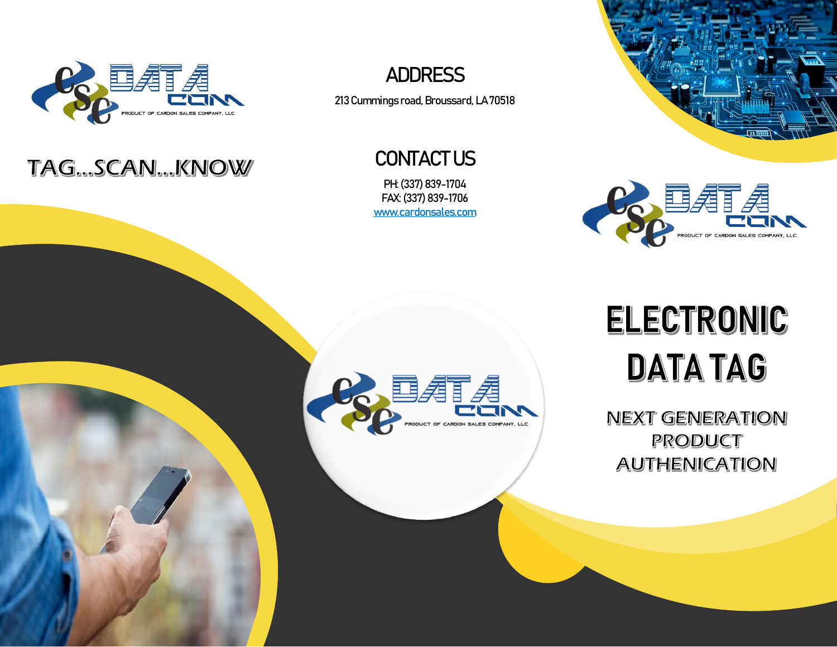

## TAG...SCAN...KNOW



213 Cummings road, Broussard, LA 70518

CONTACT US

PH: (337) 839-1704 FAX: (337) 839-1706 [www.cardonsales.com](http://www.cardonsales.com/)





## ELECTRONIC **DATA TAG**

**NEXT GENERATION** PRODUCT **AUTHENICATION**